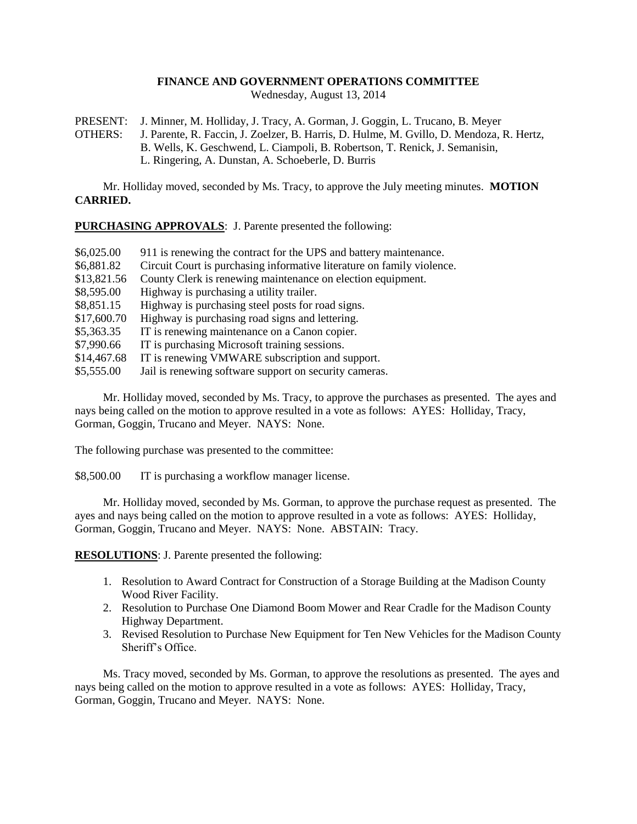## **FINANCE AND GOVERNMENT OPERATIONS COMMITTEE**

Wednesday, August 13, 2014

PRESENT: J. Minner, M. Holliday, J. Tracy, A. Gorman, J. Goggin, L. Trucano, B. Meyer OTHERS: J. Parente, R. Faccin, J. Zoelzer, B. Harris, D. Hulme, M. Gvillo, D. Mendoza, R. Hertz, B. Wells, K. Geschwend, L. Ciampoli, B. Robertson, T. Renick, J. Semanisin, L. Ringering, A. Dunstan, A. Schoeberle, D. Burris

Mr. Holliday moved, seconded by Ms. Tracy, to approve the July meeting minutes. **MOTION CARRIED.**

**PURCHASING APPROVALS**: J. Parente presented the following:

| \$6,025.00  | 911 is renewing the contract for the UPS and battery maintenance.      |
|-------------|------------------------------------------------------------------------|
| \$6,881.82  | Circuit Court is purchasing informative literature on family violence. |
| \$13,821.56 | County Clerk is renewing maintenance on election equipment.            |
| \$8,595.00  | Highway is purchasing a utility trailer.                               |
| \$8,851.15  | Highway is purchasing steel posts for road signs.                      |
| \$17,600.70 | Highway is purchasing road signs and lettering.                        |
| \$5,363.35  | IT is renewing maintenance on a Canon copier.                          |
| \$7,990.66  | IT is purchasing Microsoft training sessions.                          |
| \$14,467.68 | IT is renewing VMWARE subscription and support.                        |
| \$5,555.00  | Jail is renewing software support on security cameras.                 |
|             |                                                                        |

Mr. Holliday moved, seconded by Ms. Tracy, to approve the purchases as presented. The ayes and nays being called on the motion to approve resulted in a vote as follows: AYES: Holliday, Tracy, Gorman, Goggin, Trucano and Meyer. NAYS: None.

The following purchase was presented to the committee:

\$8,500.00 IT is purchasing a workflow manager license.

Mr. Holliday moved, seconded by Ms. Gorman, to approve the purchase request as presented. The ayes and nays being called on the motion to approve resulted in a vote as follows: AYES: Holliday, Gorman, Goggin, Trucano and Meyer. NAYS: None. ABSTAIN: Tracy.

**RESOLUTIONS**: J. Parente presented the following:

- 1. Resolution to Award Contract for Construction of a Storage Building at the Madison County Wood River Facility.
- 2. Resolution to Purchase One Diamond Boom Mower and Rear Cradle for the Madison County Highway Department.
- 3. Revised Resolution to Purchase New Equipment for Ten New Vehicles for the Madison County Sheriff's Office.

Ms. Tracy moved, seconded by Ms. Gorman, to approve the resolutions as presented. The ayes and nays being called on the motion to approve resulted in a vote as follows: AYES: Holliday, Tracy, Gorman, Goggin, Trucano and Meyer. NAYS: None.